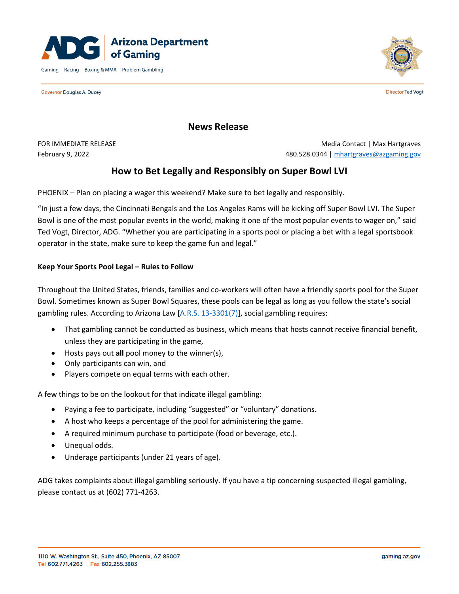

Governor Douglas A. Ducey



**Director Ted Vogt** 

# **News Release**

FOR IMMEDIATE RELEASE **Media Contact | Max Hartgraves** Media Contact | Max Hartgraves February 9, 2022 480.528.0344 | [mhartgraves@azgaming.gov](mailto:mhartgraves@azgaming.gov)

# **How to Bet Legally and Responsibly on Super Bowl LVI**

PHOENIX – Plan on placing a wager this weekend? Make sure to bet legally and responsibly.

"In just a few days, the Cincinnati Bengals and the Los Angeles Rams will be kicking off Super Bowl LVI. The Super Bowl is one of the most popular events in the world, making it one of the most popular events to wager on," said Ted Vogt, Director, ADG. "Whether you are participating in a sports pool or placing a bet with a legal sportsbook operator in the state, make sure to keep the game fun and legal."

#### **Keep Your Sports Pool Legal – Rules to Follow**

Throughout the United States, friends, families and co-workers will often have a friendly sports pool for the Super Bowl. Sometimes known as Super Bowl Squares, these pools can be legal as long as you follow the state's social gambling rules. According to Arizona Law  $[A.R.S. 13-3301/7]$ , social gambling requires:

- That gambling cannot be conducted as business, which means that hosts cannot receive financial benefit, unless they are participating in the game,
- Hosts pays out **all** pool money to the winner(s),
- Only participants can win, and
- Players compete on equal terms with each other.

A few things to be on the lookout for that indicate illegal gambling:

- Paying a fee to participate, including "suggested" or "voluntary" donations.
- A host who keeps a percentage of the pool for administering the game.
- A required minimum purchase to participate (food or beverage, etc.).
- Unequal odds.
- Underage participants (under 21 years of age).

ADG takes complaints about illegal gambling seriously. If you have a tip concerning suspected illegal gambling, please contact us at (602) 771-4263.